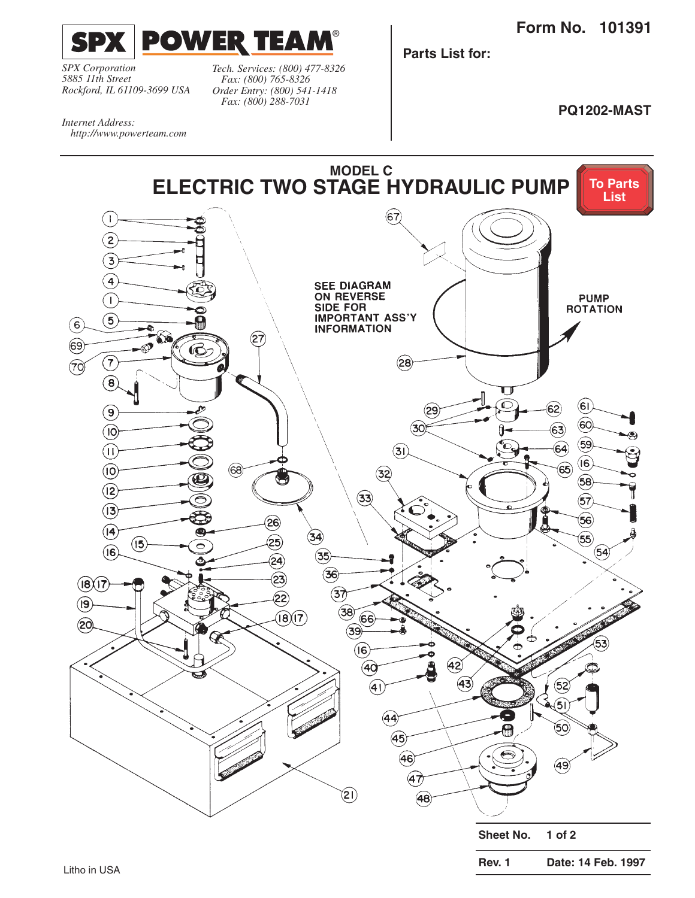**Form No. 101391**

<span id="page-0-0"></span>

*SPX Corporation 5885 11th Street Rockford, IL 61109-3699 USA*

*http://www.powerteam.com*

*Internet Address:* 

*Tech. Services: (800) 477-8326 Fax: (800) 765-8326 Order Entry: (800) 541-1418 Fax: (800) 288-7031*

**Parts List for:**

**PQ1202-MAST**

**MODEL C [To Parts](#page-1-0)  ELECTRIC TWO STAGE HYDRAULIC PUMP List**  $\widehat{67}$  $\left( \begin{array}{c} 1 \end{array} \right)$  $\left( 2\right)$  $\overline{\mathbf{3}}$  $\overline{4}$ **SEE DIAGRAM ON REVERSE PUMP**  $\left( \begin{array}{c} 1 \end{array} \right)$ **SIDE FOR ROTATION IMPORTANT ASS'Y**  $\left(5\right)$  $\left( 6\right)$ **INFORMATION**  $(\widehat{27})$  $\circled{s}$  $\bf \Phi$  $(\overline{\mathbf{7}})$  $(28)$  $(7)$  $\left( \mathbf{B}\right)$  $\blacksquare$ ĉ  $\left( 6\right)$  $\left( 62\right)$  $\left( \mathsf{e}\right)$ (29  $\left( 60 \right)$  $(30)$  $\mathbf{63}$  $($ lO $)$  $(59)$  $\bf{(64)}$  $(1)$  $(3)$  $\left( 6\right)$  $\widehat{\mathbf{65}}$  $(68)$  $($ iO $)$  $(32)$ U  $\langle 58 \rangle$  $(12)$  $(33)$  $\widehat{57}$  $(3)$  $(56)$ ලි  $($ 4 $)$ O  $\circled{34}$  $\widehat{55}$  $(25)$  $($ l5 ◓  $(6)$  $(35)$  $(54)$  $\widehat{24}$  $(36)$  $23$  $(i8)(17)$  $\mathcal{F}$ 22)  $($ l9 $)$  $(38)$  $\widehat{\mathsf{(B)}}$  $\widehat{\mathsf{(7)}}$  $66$  $(20)$  $(39)$  $\circled{\scriptstyle 6}$  $\bigcirc$ 40 43  $\bigcirc$  $(52)$  $\widetilde{\mathsf{5}}$ i  $(44)$ (50)  $(45)$ ຣ  $(46)$ (49)  $(47)$  $(21)$  $(48)$ 

**Sheet No. 1 of 2**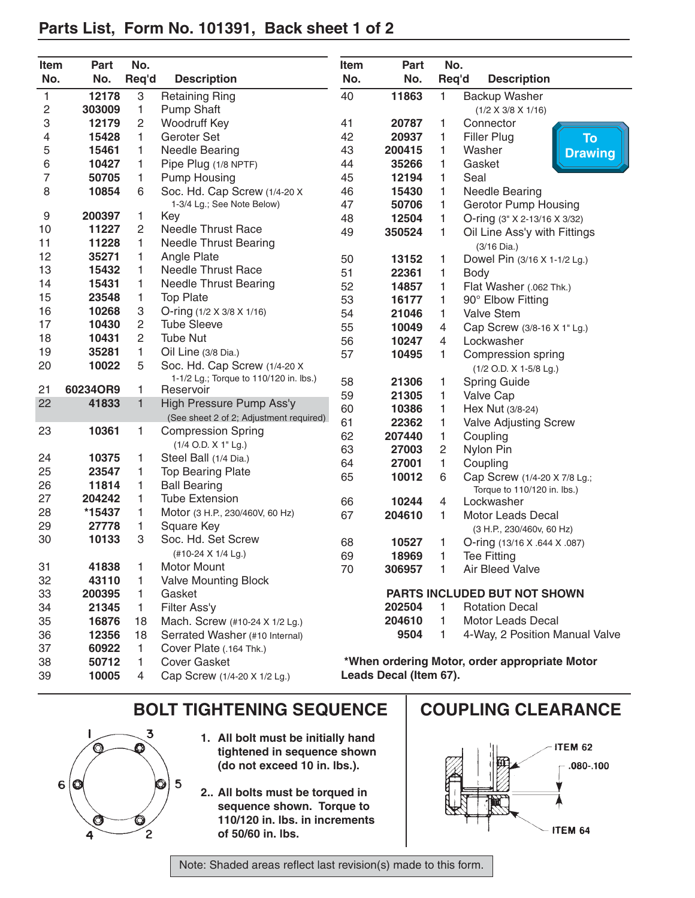## <span id="page-1-0"></span>**Parts List, Form No. 101391, Back sheet 1 of 2**

| Item<br>No. | Part<br>No.    | No.<br>Req'd   | <b>Description</b>                                               | Item<br>No. | Part<br>No.            | No.<br>Req'd   | <b>Description</b>                            |
|-------------|----------------|----------------|------------------------------------------------------------------|-------------|------------------------|----------------|-----------------------------------------------|
|             | 12178          |                |                                                                  | 40          | 11863                  |                |                                               |
| 1<br>2      | 303009         | 3<br>1         | <b>Retaining Ring</b><br><b>Pump Shaft</b>                       |             |                        | 1              | Backup Washer                                 |
| 3           | 12179          | $\overline{c}$ | Woodruff Key                                                     | 41          | 20787                  | 1              | $(1/2 \times 3/8 \times 1/16)$<br>Connector   |
| 4           | 15428          | 1              | Geroter Set                                                      | 42          | 20937                  | 1              | Filler Plug<br>To                             |
| 5           | 15461          | 1              | <b>Needle Bearing</b>                                            | 43          | 200415                 | 1              | Washer                                        |
| 6           | 10427          | 1              | Pipe Plug (1/8 NPTF)                                             | 44          | 35266                  | 1              | <b>Drawing</b><br>Gasket                      |
| 7           | 50705          | 1              | <b>Pump Housing</b>                                              | 45          | 12194                  | 1              | Seal                                          |
| 8           | 10854          | 6              | Soc. Hd. Cap Screw (1/4-20 X                                     | 46          | 15430                  | 1              | <b>Needle Bearing</b>                         |
|             |                |                | 1-3/4 Lg.; See Note Below)                                       | 47          | 50706                  | 1              | <b>Gerotor Pump Housing</b>                   |
| 9           | 200397         | 1              | Key                                                              | 48          | 12504                  | 1              | O-ring (3" X 2-13/16 X 3/32)                  |
| 10          | 11227          | 2              | Needle Thrust Race                                               | 49          | 350524                 | 1              | Oil Line Ass'y with Fittings                  |
| 11          | 11228          | 1              | <b>Needle Thrust Bearing</b>                                     |             |                        |                | (3/16 Dia.)                                   |
| 12          | 35271          | 1              | Angle Plate                                                      | 50          | 13152                  | 1              | Dowel Pin (3/16 X 1-1/2 Lg.)                  |
| 13          | 15432          | 1              | <b>Needle Thrust Race</b>                                        | 51          | 22361                  | 1              | <b>Body</b>                                   |
| 14          | 15431          | 1              | <b>Needle Thrust Bearing</b>                                     | 52          | 14857                  | 1              | Flat Washer (.062 Thk.)                       |
| 15          | 23548          | 1              | <b>Top Plate</b>                                                 | 53          | 16177                  | 1              | 90° Elbow Fitting                             |
| 16          | 10268          | З              | O-ring (1/2 X 3/8 X 1/16)                                        | 54          | 21046                  | 1              | <b>Valve Stem</b>                             |
| 17          | 10430          | 2              | <b>Tube Sleeve</b>                                               | 55          | 10049                  | 4              | Cap Screw (3/8-16 X 1" Lg.)                   |
| 18          | 10431          | 2              | <b>Tube Nut</b>                                                  | 56          | 10247                  | $\overline{4}$ | Lockwasher                                    |
| 19          | 35281          | 1              | Oil Line (3/8 Dia.)                                              | 57          | 10495                  | 1              | Compression spring                            |
| 20          | 10022          | 5              | Soc. Hd. Cap Screw (1/4-20 X                                     |             |                        |                | (1/2 O.D. X 1-5/8 Lg.)                        |
|             |                |                | 1-1/2 Lg.; Torque to 110/120 in. lbs.)                           | 58          | 21306                  | 1              | <b>Spring Guide</b>                           |
| 21          | 60234OR9       | 1              | Reservoir                                                        | 59          | 21305                  | 1              | Valve Cap                                     |
| 22          | 41833          | $\mathbf{1}$   | High Pressure Pump Ass'y                                         | 60          | 10386                  | 1              | Hex Nut (3/8-24)                              |
|             |                |                | (See sheet 2 of 2; Adjustment required)                          | 61          | 22362                  | 1              | <b>Valve Adjusting Screw</b>                  |
| 23          | 10361          | 1              | <b>Compression Spring</b>                                        | 62          | 207440                 | 1              | Coupling                                      |
|             |                |                | (1/4 O.D. X 1" Lg.)                                              | 63          | 27003                  | $\overline{c}$ | Nylon Pin                                     |
| 24          | 10375          | 1              | Steel Ball (1/4 Dia.)                                            | 64          | 27001                  | 1              | Coupling                                      |
| 25          | 23547          | 1              | <b>Top Bearing Plate</b>                                         | 65          | 10012                  | 6              | Cap Screw (1/4-20 X 7/8 Lg.;                  |
| 26          | 11814          | 1              | <b>Ball Bearing</b>                                              |             |                        |                | Torque to 110/120 in. lbs.)                   |
| 27          | 204242         | 1              | <b>Tube Extension</b>                                            | 66          | 10244                  | 4              | Lockwasher                                    |
| 28          | *15437         | 1              | Motor (3 H.P., 230/460V, 60 Hz)                                  | 67          | 204610                 | 1              | Motor Leads Decal                             |
| 29          | 27778          | 1              | Square Key<br>Soc. Hd. Set Screw                                 |             |                        |                | (3 H.P., 230/460v, 60 Hz)                     |
| 30          | 10133          | 3              |                                                                  | 68          | 10527                  | 1              | O-ring (13/16 X .644 X .087)                  |
|             |                |                | (#10-24 X 1/4 Lg.)<br><b>Motor Mount</b>                         | 69          | 18969                  | 1              | <b>Tee Fitting</b>                            |
| 31          | 41838          | 1              |                                                                  | 70          | 306957                 | 1              | Air Bleed Valve                               |
| 32          | 43110          | 1              | <b>Valve Mounting Block</b>                                      |             |                        |                | PARTS INCLUDED BUT NOT SHOWN                  |
| 33          | 200395         | 1              | Gasket                                                           |             |                        | 1.             | <b>Rotation Decal</b>                         |
| 34<br>35    | 21345<br>16876 | 1.             | Filter Ass'y                                                     |             | 202504<br>204610       | 1.             | <b>Motor Leads Decal</b>                      |
| 36          | 12356          | 18<br>18       | Mach. Screw (#10-24 X 1/2 Lg.)<br>Serrated Washer (#10 Internal) |             | 9504                   | 1.             | 4-Way, 2 Position Manual Valve                |
|             |                |                | Cover Plate (.164 Thk.)                                          |             |                        |                |                                               |
| 37          | 60922          | 1.             | <b>Cover Gasket</b>                                              |             |                        |                | *When ordering Motor, order appropriate Motor |
| 38<br>39    | 50712          | 1.             |                                                                  |             | Leads Decal (Item 67). |                |                                               |
|             | 10005          | 4              | Cap Screw (1/4-20 X 1/2 Lg.)                                     |             |                        |                |                                               |

## BOLT TIGHTENING SEQUENCE | COUPLING CLEARANCE



- **1. All bolt must be initially hand tightened in sequence shown (do not exceed 10 in. lbs.).**
- **2.. All bolts must be torqued in sequence shown. Torque to 110/120 in. lbs. in increments of 50/60 in. lbs.**





Note: Shaded areas reflect last revision(s) made to this form.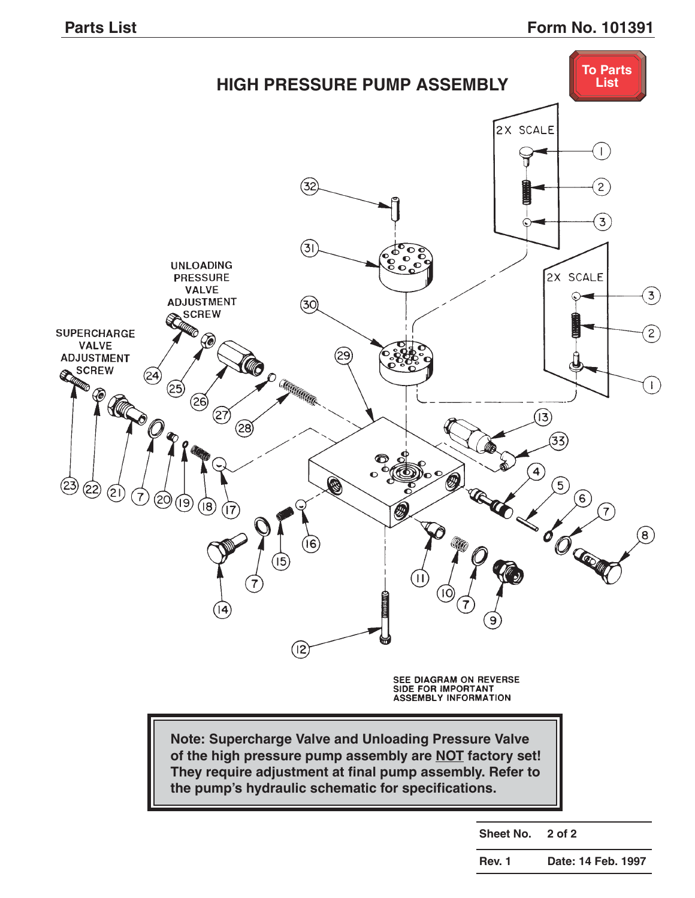<span id="page-2-0"></span>

**Rev. 1 Date: 14 Feb. 1997**